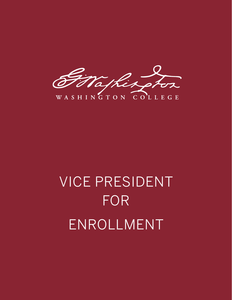aski

WASHINGTON COLLEGE

# VICE PRESIDENT FOR ENROLLMENT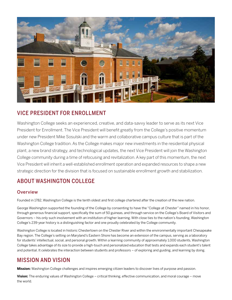

#### VICE PRESIDENT FOR ENROLLMENT

Washington College seeks an experienced, creative, and data-savvy leader to serve as its next Vice President for Enrollment. The Vice President will benefit greatly from the College's positive momentum under new President Mike Sosulski and the warm and collaborative campus culture that is part of the Washington College tradition. As the College makes major new investments in the residential physical plant, a new brand strategy, and technological updates, the next Vice President will join the Washington College community during a time of refocusing and revitalization. A key part of this momentum, the next Vice President will inherit a well-established enrollment operation and expanded resources to shape a new strategic direction for the division that is focused on sustainable enrollment growth and stabilization.

# ABOUT WASHINGTON COLLEGE

#### **Overview**

Founded in 1782, Washington College is the tenth oldest and first college chartered after the creation of the new nation.

George Washington supported the founding of the College by consenting to have the "College at Chester" named in his honor, through generous financial support, specifically the sum of 50 guineas, and through service on the College's Board of Visitors and Governors – his only such involvement with an institution of higher learning. With close ties to the nation's founding, Washington College's 239-year history is a distinguishing factor and one proudly celebrated by the College community.

Washington College is located in historic Chestertown on the Chester River and within the environmentally important Chesapeake Bay region. The College's setting on Maryland's Eastern Shore has become an extension of the campus, serving as a laboratory for students' intellectual, social, and personal growth. Within a learning community of approximately 1,000 students, Washington College takes advantage of its size to provide a high-touch and personalized education that tests and expands each student's talent and potential. It celebrates the interaction between students and professors – of exploring and guiding, and learning by doing.

# MISSION AND VISION

**Mission:** Washington College challenges and inspires emerging citizen leaders to discover lives of purpose and passion.

**Vision:** The enduring values of Washington College – critical thinking, effective communication, and moral courage – move the world.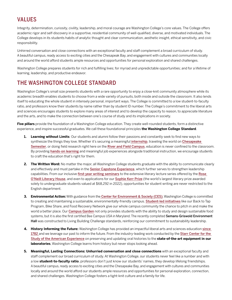# VALUES

Integrity, determination, curiosity, civility, leadership, and moral courage are Washington College's core values. The College offers academic rigor and self-discovery in a supportive, residential community of well-qualified, diverse, and motivated individuals. The College develops in its students habits of analytic thought and clear communication, aesthetic insight, ethical sensitivity, and civic responsibility.

Unhirred conversation and close connections with an exceptional faculty and staff complement a broad curriculum of study. A beautiful campus, ready access to exciting cities and the Chesapeak Bay, and engagement with cultures and communities locally and around the world afford students ample resources and opportunities for personal exploration and shared challenges.

Washington College prepares students for rich and fulfilling lives; for myriad and unpredictable opportunities; and for a lifetime of learning, leadership, and productive endeavor.

## THE WASHINGTON COLLEGE STANDARD

Washington College's small size presents students with a rare opportunity to enjoy a close-knit community atmosphere while its academic breadth enables students to choose from a wide variety of pursuits, both inside and outside the classroom. It also lends itself to educating the whole student in intensely personal, important ways. The College is committed to a low student-to-faculty ratio, and professors know their students by name rather than by student ID number. The College's commitment to the liberal arts and sciences encourages students to explore many areas of interest and to develop the capacity to reason, to appreciate literature and the arts, and to make the connection between one's course of study and its implications in society.

**Five pillars** provide the foundation of a Washington College education. They create well-rounded students, form a distinctive experience, and inspire successful graduates. We call these foundational principles **the Washington College Standard**.

- **1. Learning without Limits**: Our students and alumni follow their passions and constantly seek to find new ways to synthesize the things they love. Whether it's securing a meaningful [internship](https://washcoll.studentemployment.ngwebsolutions.com/), traveling the world on Chesapeake [Semester](https://www.washcoll.edu/learn-by-doing/ces/chesapeake-semester.php), or doing field research right here on the [River and Field Campus](https://www.washcoll.edu/learn-by-doing/rafc/index.php), education is never confined to the classroom. By providing [hands-on learning](https://www.washcoll.edu/learn-by-doing/) and meaningful job experiences alongside traditional instruction, we encourage students to craft the education that's right for them.
- **2. The Written Word:** No matter the major, all Washington College students graduate with the ability to communicate clearly and effectively and must partake in the [Senior Capstone Experience](https://www.washcoll.edu/academics/senior-capstone-experience/index.php), which further serves to strengthen leadership capabilities. From our inclusive [first-year writing seminars](https://www.washcoll.edu/about/first-year-programs-and-orientation/first-year-seminar/) to the extensive literary lecture series offered by the Rose [O'Neill Literary House](https://www.washcoll.edu/learn-by-doing/lit-house/index.php), and even to applications for our [Sophie Kerr Prize](https://www.washcoll.edu/academic_departments/english/sophie-kerr-legacy/sophie-kerr-prize.php) (the world's largest literary prize awarded solely to undergraduate students valued at \$68,292 in 2022), opportunities for student writing are never restricted to the English department.
- **3. Environmental Action:** With guidance from the [Center for Environment & Society \(CES\)](https://www.washcoll.edu/learn-by-doing/ces/index.php), Washington College is committed to creating and maintaining a sustainable, environmentally-friendly campus. [Student-led initiatives](https://www.washcoll.edu/sustainability/) like our Back to Tap Program, Bike Share, and Food Recovery Network give our whole campus community the chance to pitch in and make the world a better place. Our [Campus Garden](https://www.washcoll.edu/sustainability/campus-garden/index.php) not only provides students with the ability to study and design sustainable food systems, but it is also the first certified Bee Campus USA in Maryland. The recently completed Semans-Griswold Environment Hall was constructed to Living Building Challenge standards, reinforcing our commitment to sustainability leadership.
- **4. History Informing the Future:** Washington College has provided an impactful liberal arts and sciences education [since](https://www.washcoll.edu/about/george-washington.php)  [1782](https://www.washcoll.edu/about/george-washington.php) and we leverage our past to inform the future. From the industry-leading work conducted by the [Starr Center for the](https://www.washcoll.edu/learn-by-doing/starr/index.php) [Study of the American Experience](https://www.washcoll.edu/learn-by-doing/starr/index.php) on preserving and updating oral histories to the **state-of-the-art equipment in our laboratories**, Washington College learns from history but never stops looking ahead.
- **5. Meaningful, Lasting Connections: Unhurried conversation and close connections** with an exceptional faculty and staff complement our broad curriculum of study. At Washington College, our students never feel like a number and with a low **student-to-faculty ratio**, professors don't just know our students' names, they develop lifelong friendships. A beautiful campus, ready access to exciting cities and the Chesapeake Bay, and engagement with cultures and communities locally and around the world afford our students ample resources and opportunities for personal exploration, connection, and shared challenges. Washington College fosters a tight-knit culture and a family for life.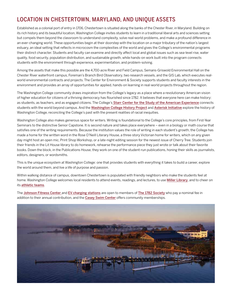# LOCATION IN CHESTERTOWN, MARYLAND, AND UNIQUE ASSETS

Established as a colonial port of entry in 1706, Chestertown is situated along the banks of the Chester River, in Maryland. Building on its rich history and its beautiful location, Washington College invites students to learn in a traditional liberal arts and sciences setting but compels them beyond the classroom to understand complexity, solve real-world problems, and make a profound difference in an ever-changing world. These opportunities begin at their doorstep with the location on a major tributary of the nation's largest estuary, an ideal setting that reflects in microcosm the complexities of the world and gives the College's environmental programs their distinct character. Students and faculty can examine and directly affect local and global issues such as sea-level rise, water quality, food security, population distribution, and sustainable growth, while hands-on work built into the program connects students with the environment through experience, experimentation, and problem-solving.

Among the assets that make this possible are the 4,700-acre River and Field Campus, Semans-Griswold Environmental Hall on the Chester River waterfront campus, Foreman's Branch Bird Observatory, two research vessels, and the GIS Lab, which executes realworld environmental contracts and projects. The Center for Environment & Society supports students and faculty interests in the environment and provides an array of opportunities for applied, hands-on learning in real-world projects throughout the region.

The Washington College community draws inspiration from the College's legacy as a place where a revolutionary American vision of higher education for citizens of a thriving democracy has flourished since 1782. It believes that everyone here can make history: as students, as teachers, and as engaged citizens. The College's [Starr Center for the Study of the American Experience](https://www.washcoll.edu/learn-by-doing/starr/index.php) connects students with the world beyond campus. And the [Washington College History Project](https://www.washcoll.edu/campus-community/washington-college-history-project.php) and [Asterisk Initiative](https://www.washcoll.edu/campus-community/asterisk-initiative/index.php) explore the history of Washington College, reconciling the College's past with the present realities of racial inequities.

Washington College also makes generous space for writers. Writing is foundational to the College's core principles, from First-Year Seminars to the distinctive Senior Capstone. It is second nature and takes place everywhere – even in a biology or math course that satisfies one of the writing requirements. Because the institution values the role of writing in each student's growth, the College has made a home for the written word in the Rose O'Neill Literary House, a three-story Victorian home for writers, which on any given day might host an open mic, Print Shop Workshop, or a late-night editing session for the newest issue of Cherry Tree. Students join their friends in the Lit House library to do homework, rehearse the performance piece they just wrote or talk about their favorite books. Down the block, in the Publications House, they work on one of the student-run publications, honing their skills as journalists, editors, designers, or wordsmiths.

This is the unique ecosystem at Washington College: one that provides students with everything it takes to build a career, explore the world around them, and live a life of purpose and passion.

Within walking distance of campus, downtown Chestertown is populated with friendly neighbors who make the students feel at home. Washington College welcomes local residents to attend events, readings, and lectures, to use **[Miller Library](https://www.washcoll.edu/academics/library-and-academic-technology/)**, and to cheer on its [athletic teams](https://www.washingtoncollegesports.com/landing/index).

The [Johnson Fitness Center](https://www.washcoll.edu/campus-community/fitness-recreation.php) and [EV charging stations](https://www.washcoll.edu/sustainability/ev/index.php) are open to members of [The 1782 Society](https://www.washcoll.edu/giving/1782-society.php) who pay a nominal fee in addition to their annual contribution, and the [Casey Swim Center](https://www.washingtoncollegesports.com/insideAthletics/facilities/casey_swim_center) offers community memberships.

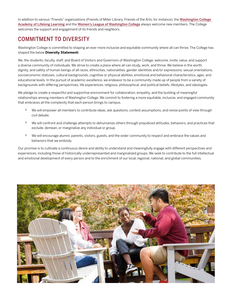In addition to various "Friends" organizations (Friends of Miller Library, Friends of the Arts, for instance), the Washington College [Academy of Lifelong Learning](https://www.washcoll.edu/people_departments/offices/wc-all/) and the [Women's League of Washington College](https://www.womensleagueofwashingtoncollege.com/) always welcome new members. The College welcomes the support and engagement of its friends and neighbors.

# COMMITMENT TO DIVERSITY

Washington College is committed to shaping an ever more inclusive and equitable community where all can thrive. The College has shaped the below **Diversity Statement:**

We, the students, faculty, staff, and Board of Visitors and Governors of Washington College, welcome, invite, value, and support a diverse community of individuals. We strive to create a place where all can study, work, and thrive. We believe in the worth, dignity, and safety of human beings of all races, ethnicities, nationalities, gender identities and/or expressions, sexual orientations, socioeconomic statuses, cultural backgrounds, cognitive or physical abilities, emotional and behavioral characteristics, ages, and educational levels. In the pursuit of academic excellence, we endeavor to be a community made up of people from a variety of backgrounds with differing perspectives, life experiences, religious, philosophical, and political beliefs, lifestyles, and ideologies.

We pledge to create a respectful and supportive environment for collaboration, empathy, and the building of meaningful relationships among members of Washington College. We commit to fostering a more equitable, inclusive, and engaged community that embraces all the complexity that each person brings to campus.

- We will empower all members to contribute ideas, ask questions, contest assumptions, and revise points of view through civil debate.
- <sup>o</sup> We will confront and challenge attempts to dehumanize others through prejudiced attitudes, behaviors, and practices that exclude, demean, or marginalize any individual or group.
- We will encourage alumni, parents, visitors, guests, and the wider community to respect and embrace the values and behaviors that we embody.

Our promise is to cultivate a continuous desire and ability to understand and meaningfully engage with different perspectives and experiences, including those of historically underrepresented and marginalized groups. We seek to contribute to the full intellectual and emotional development of every person and to the enrichment of our local, regional, national, and global communities.

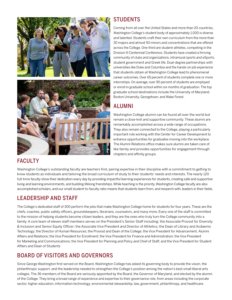



# **STUDENTS**

Coming from all over the United States and more than 20 countries, Washington College's student body of approximately 1,000 is diverse and talented. Students craft their own curriculum from the more than 30 majors and almost 50 minors and concentrations that are offered across the College. One-third are student-athletes, competing in the Division III Centennial Conference. Students have created a thriving community of clubs and organizations, intramural sports and eSports, student government and Greek life. Dual-degree partnerships with universities like Duke and Columbia and the hands-on job experience that students obtain at Washington College lead to phenomenal career outcomes. Over 65 percent of students complete one or more internships. On average, over 90 percent of students are employed or enroll in graduate school within six months of graduation. The top graduate school destinations include the University of Maryland, Boston University, Georgetown, and Wake Forest.

# ALUMNI

Washington College alumni can be found all over the world but remain a close-knit and supportive community. These alumni are remarkably accomplished across a wide range of occupations. They also remain connected to the College, playing a particularly important role working with the Center for Career Development to enhance opportunities for graduates moving into the workplace. The Alumni Relations office makes sure alumni are taken care of like family and provides opportunities for engagement through chapters and affinity groups.

# FACULTY

Washington College's outstanding faculty are teachers first, pairing expertise in their discipline with a commitment to getting to know students as individuals and tailoring the broad curriculum of study to their students' needs and interests. The nearly 120 full-time faculty show their dedication every day by providing impactful learning experiences for students, creating safe and supportive living and learning environments, and building lifelong friendships. While teaching is the priority, Washington College faculty are also accomplished scholars, and our small student-to-faculty ratio means that students learn from, and research with, leaders in their fields.

## LEADERSHIP AND STAFF

The College's dedicated staff of 300 perform the jobs that make Washington College home for students for four years. These are the chefs, coaches, public safety officers, groundskeepers, librarians, counselors, and many more. Every one of the staff is committed to the mission of helping students become citizen leaders, and they are the ones who truly turn the College community into a family. A core team of eleven staff members serves on the President's Senior Staff including: the Associate Provost for Diversity & Inclusion and Senior Equity Officer; the Associate Vice President and Director of Athletics; the Dean of Library and Acdaemic Technology; the Director of Human Resources; the Provost and Dean of the College; the Vice President for Advancement, Alumni Affairs and Relations; the Vice President for Enrollment; the Vice President for Finance and Administration; the Vice President for Marketing and Communications; the Vice President for Planning and Policy and Chief of Staff; and the Vice President for Student Affairs and Dean of Students

# BOARD OF VISITORS AND GOVERNORS

Since George Washington first served on the Board, Washington College has asked its governing body to provide the vision, the philanthropic support, and the leadership needed to strengthen the College's position among the nation's best small liberal arts colleges. The 36 members of the Board are variously appointed by the Board, the Governor of Maryland, and elected by the alumni of the College. They bring a broad range of experience and expertise to their governance role, from areas including the corporate sector, higher education, information technology, environmental stewardship, law, government, philanthropy, and healthcare.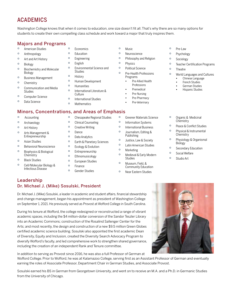# ACADEMICS

Washington College knows that when it comes to education, one size doesn't fit all. That's why there are so many options for students to create their own compelling class schedule and work toward a major that truly inspires them.

#### Majors and Programs

- American Studies
- Anthropology
- Art and Art History
- Biology
- Biochemistry and Molecular Biology
- Business Management
- Chemistry
- Communication and Media Studies
- Computer Science
- Data Science
- Education
- Engineering

**•** Economics

- English
- Environmental Science and Studies
- History
- Human Development
- Humanities **•** International Literature &
- Culture
- International Studies
- Mathematics
- Minors, Concentrations, and Areas of Emphasis
- Accounting
- Archaeology
- Art History
- Arts Management & Entrepreneurship
- Asian Studies
- Behavioral Neuroscience
- Biophysics & Biological **Chemistry**
- Black Studies
- Cell/Molecular Biology & Infectious Disease
- Chesapeake Regional Studies
- Clinical Counseling **•** Creative Writing
- Dance
- 
- <sup>o</sup> Data Analytics<br>  **Farth & Planet •** Earth & Planetary Sciences
- Ecology & Evolution
- Entrepreneurship
- Ethnomusicology
- European Studies
- Finance
- Gender Studies
- Music
- Neuroscience
- Philosophy and Religion
- Physics
- Political Science
- Pre-Health Professions Programs
	- **•** Pre-Allied Health Professions
	- **•** Premedical
	- **•** Pre-Nursing
	- **•** Pre-Pharmacy
	- **•** Pre-Veterinary

**•** Greener Materials Science **•** Information Systems **•** International Business **•** Journalism, Editing & Publishing **•** Justice, Law & Society **•** Latin American Studies

**•** Psychology **•** Sociology

**•** Pre-Law

- Teacher Certification Programs
- Theatre
- World Languages and Cultures
	- **•** Chinese Language
	- **•** French Studies
	- **•** German Studies
	- **•** Hispanic Studies
- Organic & Medicinal **Chemistry**
- Peace & Conflict Studies
- Physical & Instrumental **Chemistry**
- Physiology & Organismal Biology
- Secondary Education
- Social Welfare
- Studio Art
- Museum, Field, & Community Education

Studies

**•** Marketing

**•** Near Eastern Studies

**•** Medieval & Early Modern

Leadership Dr. Michael J. (Mike) Sosulski, President

Dr. Michael J. (Mike) Sosulski, a leader in academic and student affairs, financial stewardship and change management, began his appointment as president of Washington College on September 1, 2021. He previously served as Provost at Wofford College in South Carolina.

During his tenure at Wofford, the college redesigned or reconstructed a range of vibrant academic spaces, including the \$4 million-dollar conversion of the Sandor Teszler Library into an Academic Commons; construction of the Rosalind Sallenger Center for the Arts; and most recently, the design and construction of a new \$9.5 million Green Globes certified academic science building. Sosulski also appointed the first academic Dean of Diversity, Equity and Inclusion, created the Diversity Search Advocacy Program to diversify Wofford's faculty, and led comprehensive work to strengthen shared governance, including the creation of an independent Rank and Tenure committee.

In addition to serving as Provost since 2016, he was also a full Professor of German at

Wofford College. Prior to Wofford, he was at Kalamazoo College, serving first as an Assistant Professor of German and eventually earning the roles of Associate Professor, Department Chair in German Studies, and Associate Provost.

Sosulski earned his BS in German from Georgetown University, and went on to receive an M.A. and a Ph.D. in Germanic Studies from the University of Chicago.

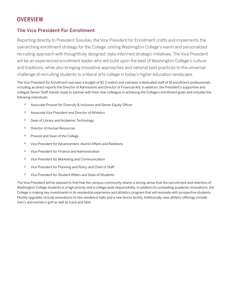#### **OVERVIEW**

#### The Vice President For Enrollment

Reporting directly to President Sosulski, the Vice President for Enrollment crafts and implements the overarching enrollment strategy for the College, uniting Washington College's warm and personalized recruiting approach with thoughtfully designed, data-informed strategic initiatives. The Vice President will be an experienced enrollment leader who will build upon the best of Washington College's culture and traditions, while also bringing innovative approaches and national best practices to the universal challenge of recruiting students to a liberal arts college in today's higher education landscape.

The Vice President for Enrollment oversees a budget of \$2.2 million and oversees a dedicated staff of 16 enrollment professionals, including as direct reports the Director of Admissions and Director of Financial Aid. In addition, the President's supportive and collegial Senior Staff stands ready to partner with their new colleague in achieving the College's enrollment goals and includes the following individuals:

- Associate Provost for Diversity & Inclusion and Senior Equity Officer
- Associate Vice President and Director of Athletics
- Dean of Library and Acdaemic Technology
- Director of Human Resources
- Provost and Dean of the College
- Vice President for Advancement, Alumni Affairs and Relations
- Vice President for Finance and Administration
- Vice President for Marketing and Communication
- Vice President for Planning and Policy and Chief of Staff
- Vice President for Student Affairs and Dean of Students

The Vice President will be pleased to find that the campus community shares a strong sense that the recruitment and retention of Washington College students is a high priority and a college-wide responsibility. In addition to compelling academic innovations, the College is making key investments in its residential experience and athletics program that will resonate with prospective students. Facility upgrades include renovations to two residence halls and a new tennis facility. Additionally, new athletic offerings include men's and women's golf as well as track and field.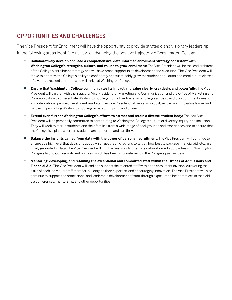# OPPORTUNITIES AND CHALLENGES

The Vice President for Enrollment will have the opportunity to provide strategic and visionary leadership in the following areas identified as key to advancing the positive trajectory of Washington College:

- **Collaboratively develop and lead a comprehensive, data-informed enrollment strategy consistent with Washington College's strengths, culture, and values to grow enrollment:** The Vice President will be the lead architect of the College's enrollment strategy and will have broad support in its development and execution. The Vice President will strive to optimize the College's ability to confidently and sustainably grow the student population and enroll future classes of diverse, excellent students who will thrive at Washington College.
- **Ensure that Washington College communicates its impact and value clearly, creatively, and powerfully:** The Vice President will partner with the inaugural Vice President for Marketing and Communication and the Office of Marketing and Communication to differentiate Washington College from other liberal arts colleges across the U.S. in both the domestic and international prospective student markets. The Vice President will serve as a vocal, visible, and innovative leader and partner in promoting Washington College in person, in print, and online.
- **Extend even further Washington College's efforts to attract and retain a diverse student body:** The new Vice President will be personally committed to contributing to Washington College's culture of diversity, equity, and inclusion. They will work to recruit students and their families from a wide range of backgrounds and experiences and to ensure that the College is a place where all students are supported and can thrive.
- **Balance the insights gained from data with the power of personal recruitment:** The Vice President will continue to ensure at a high level that decisions about which geographic regions to target, how best to package financial aid, etc., are firmly grounded in data. The Vice President will find the best way to integrate data-informed approaches with Washington College's high-touch recruitment process, which has been a core element in the College's past success.
- **Mentoring, developing, and retaining the exceptional and committed staff within the Offices of Admissions and Financial Aid:** The Vice President will lead and support the talented staff within the enrollment division, cultivating the skills of each individual staff member, building on their expertise, and encouraging innovation. The Vice President will also continue to support the professional and leadership development of staff through exposure to best practices in the field via conferences, mentorship, and other opportunities.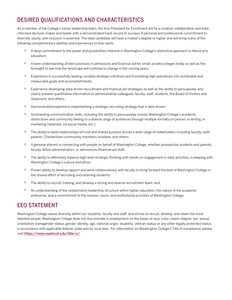# DESIRED QUALIFICATIONS AND CHARACTERISTICS

As a member of the College's senior leadership team, the Vice President for Enrollment will be a creative, collaborative, and datainformed decision-maker and leader with a demonstrated track record of success. A personal and professional commitment to diversity, equity, and inclusion is essential. The ideal candidate will have a master's degree or higher and will bring many of the following complementary abilities and experiences to their work:

- <sup>o</sup> A deep commitment to the power and possibilities inherent in Washington College's distinctive approach to liberal arts education;
- A keen understanding of best practices in admissions and financial aid for small, private colleges today as well as the foresight to see how the landscape will continue to change in the coming years;
- Experience in successfully leading complex strategic initiatives and translating high aspirations into achievable and measurable goals and accomplishments;
- Experience developing data-driven recruitment and financial aid strategies as well as the ability to persuasively and clearly present quantitative information to administrative colleagues, faculty, staff, students, the Board of Visitors and Governors, and others;
- <sup>o</sup> Demonstrated experience implementing a strategic recruiting strategy that is data driven;
- Outstanding communication skills, including the ability to persuasively convey Washington College's academic distinctions and community feeling to a diverse range of audiences through multiple formats (in person, in writing, in marketing materials, via social media, etc.);
- <sup>o</sup> The ability to build relationships of trust and shared purpose across a wide range of stakeholders including faculty, staff, parents, Chestertown community members, trustees, and others;
- <sup>o</sup> A genuine interest in connecting with people on behalf of Washington College, whether prospective students and parents, faculty, fellow administrators, or admissions/financial aid staff;
- <sup>o</sup> The ability to effectively balance high-level strategic thinking with hands-on engagement in daily activities, in keeping with Washington College's culture and ethos;
- Proven ability to develop rapport and work collaboratively with faculty to bring forward the best of Washington College in the shared effort of recruiting and retaining students;
- <sup>o</sup> The ability to recruit, training, and develop a strong and diverse recruitment team, and;
- An understanding of the collaborative leadership structure within higher education, the nature of the academic enterprise, and a commitment to the mission, vision, and institutional priorities of Washington College.

#### EEO STATEMENT

Washington College values diversity within our students, faculty and staff, and strives to recruit, develop, and retain the most talented people. Washington College does not discriminate in employment on the bases of race, color, creed, religion, sex, sexual orientation, transgender status, gender identity, age, national origin, disability, veteran status or any other legally protected status in accordance with applicable federal, state and/or local laws. For information on Washington College's Title IX compliance, please visit <https://www.washcoll.edu/title-ix/> .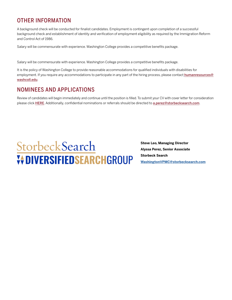# OTHER INFORMATION

A background check will be conducted for finalist candidates. Employment is contingent upon completion of a successful background check and establishment of identity and verification of employment eligibility as required by the Immigration Reform and Control Act of 1986.

Salary will be commensurate with experience. Washington College provides a competitive benefits package.

Salary will be commensurate with experience. Washington College provides a competitive benefits package.

It is the policy of Washington College to provide reasonable accommodations for qualified individuals with disabilities for employment. If you require any accommodations to participate in any part of the hiring process, please contact [humanresources@](mailto:humanresources%40washcoll.edu?subject=) [washcoll.edu](mailto:humanresources%40washcoll.edu?subject=).

## NOMINEES AND APPLICATIONS

Review of candidates will begin immediately and continue until the position is filled. To submit your CV with cover letter for consideration please click [HERE](https://talent-profile.diversifiedsearchgroup.com/search/v2/18285). Additionally, confidential nominations or referrals should be directed to a.perez@storbecksearch.com.



**Steve Leo, Managing Director Alyssa Perez, Senior Associate Storbeck Search [WashingtonVPMC@storbecksearch.com](mailto:WashingtonVPMC%40storbecksearch.com?subject=)**